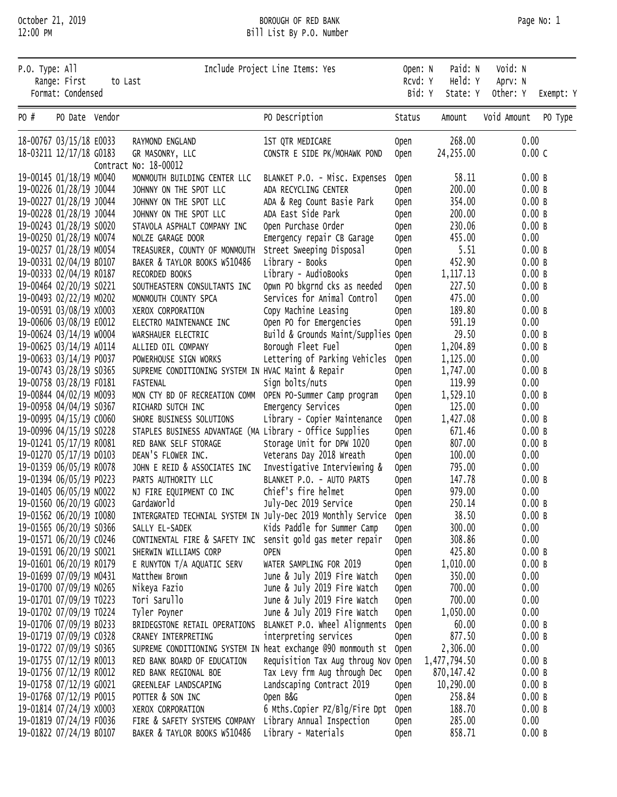## October 21, 2019 BOROUGH OF RED BANK Page No: 1 12:00 PM Bill List By P.O. Number

| P.O. Type: All | Range: First<br>Format: Condensed                  | to Last |                                                                              | Include Project Line Items: Yes                              | Open: N<br>RCVd: Y<br>Bid: Y | Paid: N<br>Held: Y<br>State: Y | Void: N<br>Aprv: N<br>Other: Y |                | Exempt: Y |
|----------------|----------------------------------------------------|---------|------------------------------------------------------------------------------|--------------------------------------------------------------|------------------------------|--------------------------------|--------------------------------|----------------|-----------|
| PO #           | PO Date Vendor                                     |         |                                                                              | PO Description                                               | Status                       | Amount                         | Void Amount                    |                | PO Type   |
|                | 18-00767 03/15/18 E0033                            |         | RAYMOND ENGLAND                                                              | 1ST QTR MEDICARE                                             | <b>Open</b>                  | 268.00                         | 0.00                           |                |           |
|                | 18-03211 12/17/18 G0183                            |         | GR MASONRY, LLC<br>Contract No: 18-00012                                     | CONSTR E SIDE PK/MOHAWK POND                                 | Open                         | 24,255.00                      |                                | 0.00C          |           |
|                | 19-00145 01/18/19 M0040                            |         | MONMOUTH BUILDING CENTER LLC                                                 | BLANKET P.O. - Misc. Expenses                                | <b>Open</b>                  | 58.11                          |                                | 0.00 B         |           |
|                | 19-00226 01/28/19 J0044                            |         | JOHNNY ON THE SPOT LLC                                                       | ADA RECYCLING CENTER                                         | <b>Open</b>                  | 200.00                         |                                | 0.00B          |           |
|                | 19-00227 01/28/19 J0044                            |         | JOHNNY ON THE SPOT LLC                                                       | ADA & Reg Count Basie Park                                   | Open                         | 354.00                         |                                | 0.00B          |           |
|                | 19-00228 01/28/19 J0044                            |         | JOHNNY ON THE SPOT LLC                                                       | ADA East Side Park                                           | Open                         | 200.00                         |                                | 0.00B          |           |
|                | 19-00243 01/28/19 S0020                            |         | STAVOLA ASPHALT COMPANY INC                                                  | Open Purchase Order                                          | Open                         | 230.06                         |                                | 0.00B          |           |
|                | 19-00250 01/28/19 NO074                            |         | NOLZE GARAGE DOOR                                                            | Emergency repair CB Garage                                   | Open                         | 455.00                         | 0.00                           |                |           |
|                | 19-00257 01/28/19 M0054                            |         | TREASURER, COUNTY OF MONMOUTH                                                | Street Sweeping Disposal                                     | Open                         | 5.51                           |                                | 0.00B          |           |
|                | 19-00331 02/04/19 B0107                            |         | BAKER & TAYLOR BOOKS W510486                                                 | Library - Books<br>Library - AudioBooks                      | Open                         | 452.90                         |                                | 0.00B<br>0.00B |           |
|                | 19-00333 02/04/19 R0187<br>19-00464 02/20/19 S0221 |         | RECORDED BOOKS<br>SOUTHEASTERN CONSULTANTS INC                               | Opwn PO bkgrnd cks as needed                                 | Open<br>Open                 | 1, 117. 13<br>227.50           |                                | 0.00B          |           |
|                | 19-00493 02/22/19 M0202                            |         | MONMOUTH COUNTY SPCA                                                         | Services for Animal Control                                  | Open                         | 475.00                         | 0.00                           |                |           |
|                | 19-00591 03/08/19 x0003                            |         | XEROX CORPORATION                                                            | Copy Machine Leasing                                         | Open                         | 189.80                         |                                | 0.00B          |           |
|                | 19-00606 03/08/19 E0012                            |         | ELECTRO MAINTENANCE INC                                                      | Open PO for Emergencies                                      | Open                         | 591.19                         | 0.00                           |                |           |
|                | 19-00624 03/14/19 w0004                            |         | WARSHAUER ELECTRIC                                                           | Build & Grounds Maint/Supplies Open                          |                              | 29.50                          |                                | 0.00B          |           |
|                | 19-00625 03/14/19 A0114                            |         | ALLIED OIL COMPANY                                                           | Borough Fleet Fuel                                           | <b>Open</b>                  | 1,204.89                       |                                | 0.00B          |           |
|                | 19-00633 03/14/19 P0037                            |         | POWERHOUSE SIGN WORKS                                                        | Lettering of Parking Vehicles                                | <b>Open</b>                  | 1,125.00                       | 0.00                           |                |           |
|                | 19-00743 03/28/19 S0365                            |         | SUPREME CONDITIONING SYSTEM IN HVAC Maint & Repair                           |                                                              | <b>Open</b>                  | 1,747.00                       |                                | 0.00B          |           |
|                | 19-00758 03/28/19 F0181                            |         | <b>FASTENAL</b>                                                              | Sign bolts/nuts                                              | Open                         | 119.99                         | 0.00                           |                |           |
|                | 19-00844 04/02/19 M0093                            |         | MON CTY BD OF RECREATION COMM                                                | OPEN PO-Summer Camp program                                  | Open                         | 1,529.10                       |                                | 0.00B          |           |
|                | 19-00958 04/04/19 S0367                            |         | RICHARD SUTCH INC                                                            | Emergency Services                                           | Open                         | 125.00                         | 0.00                           |                |           |
|                | 19-00995 04/15/19 C0060                            |         | SHORE BUSINESS SOLUTIONS                                                     | Library - Copier Maintenance                                 | Open                         | 1,427.08                       |                                | 0.00B          |           |
|                | 19-00996 04/15/19 S0228                            |         | STAPLES BUSINESS ADVANTAGE (MA Library - Office Supplies                     |                                                              | Open                         | 671.46                         |                                | 0.00B          |           |
|                | 19-01241 05/17/19 R0081                            |         | RED BANK SELF STORAGE                                                        | Storage Unit for DPW 1020                                    | Open                         | 807.00                         |                                | 0.00B          |           |
|                | 19-01270 05/17/19 D0103                            |         | DEAN'S FLOWER INC.                                                           | Veterans Day 2018 Wreath                                     | <b>Open</b>                  | 100.00                         | 0.00                           |                |           |
|                | 19-01359 06/05/19 R0078                            |         | JOHN E REID & ASSOCIATES INC                                                 | Investigative Interviewing &                                 | <b>Open</b>                  | 795.00                         | 0.00                           |                |           |
|                | 19-01394 06/05/19 P0223                            |         | PARTS AUTHORITY LLC                                                          | BLANKET P.O. - AUTO PARTS                                    | <b>Open</b>                  | 147.78                         |                                | 0.00B          |           |
|                | 19-01405 06/05/19 NO022                            |         | NJ FIRE EQUIPMENT CO INC                                                     | Chief's fire helmet                                          | <b>Open</b>                  | 979.00                         | 0.00                           |                |           |
|                | 19-01560 06/20/19 G0023                            |         | GardaWorld                                                                   | July-Dec 2019 Service                                        | <b>Open</b>                  | 250.14                         |                                | 0.00B          |           |
|                | 19-01562 06/20/19 10080                            |         | INTERGRATED TECHNIAL SYSTEM IN July-Dec 2019 Monthly Service                 |                                                              | 0pen                         | 38.50                          |                                | 0.00 B         |           |
|                | 19-01565 06/20/19 S0366<br>19-01571 06/20/19 C0246 |         | SALLY EL-SADEK<br>CONTINENTAL FIRE & SAFETY INC sensit gold gas meter repair | Kids Paddle for Summer Camp                                  | <b>Open</b>                  | 300.00<br>308.86               | 0.00<br>0.00                   |                |           |
|                | 19-01591 06/20/19 S0021                            |         | SHERWIN WILLIAMS CORP                                                        | <b>OPEN</b>                                                  | <b>Open</b><br><b>Open</b>   | 425.80                         |                                | 0.00 B         |           |
|                | 19-01601 06/20/19 R0179                            |         | E RUNYTON T/A AQUATIC SERV                                                   | WATER SAMPLING FOR 2019                                      | <b>Open</b>                  | 1,010.00                       |                                | 0.00 B         |           |
|                | 19-01699 07/09/19 M0431                            |         | Matthew Brown                                                                | June & July 2019 Fire Watch                                  | <b>Open</b>                  | 350.00                         | 0.00                           |                |           |
|                | 19-01700 07/09/19 NO265                            |         | Nikeya Fazio                                                                 | June & July 2019 Fire Watch                                  | <b>Open</b>                  | 700.00                         | 0.00                           |                |           |
|                | 19-01701 07/09/19 T0223                            |         | Tori Sarullo                                                                 | June & July 2019 Fire Watch                                  | <b>Open</b>                  | 700.00                         | 0.00                           |                |           |
|                | 19-01702 07/09/19 T0224                            |         | Tyler Poyner                                                                 | June & July 2019 Fire Watch                                  | <b>Open</b>                  | 1,050.00                       | 0.00                           |                |           |
|                | 19-01706 07/09/19 B0233                            |         | BRIDEGSTONE RETAIL OPERATIONS                                                | BLANKET P.O. Wheel Alignments                                | <b>Open</b>                  | 60.00                          |                                | 0.00 B         |           |
|                | 19-01719 07/09/19 C0328                            |         | CRANEY INTERPRETING                                                          | interpreting services                                        | <b>Open</b>                  | 877.50                         |                                | 0.00 B         |           |
|                | 19-01722 07/09/19 S0365                            |         |                                                                              | SUPREME CONDITIONING SYSTEM IN heat exchange @90 monmouth st | <b>Open</b>                  | 2,306.00                       | 0.00                           |                |           |
|                | 19-01755 07/12/19 R0013                            |         | RED BANK BOARD OF EDUCATION                                                  | Requisition Tax Aug throug Nov                               | Open                         | 1,477,794.50                   |                                | 0.00 B         |           |
|                | 19-01756 07/12/19 R0012                            |         | RED BANK REGIONAL BOE                                                        | Tax Levy frm Aug through Dec                                 | <b>Open</b>                  | 870,147.42                     |                                | 0.00 B         |           |
|                | 19-01758 07/12/19 G0021                            |         | GREENLEAF LANDSCAPING                                                        | Landscaping Contract 2019                                    | <b>Open</b>                  | 10,290.00                      |                                | 0.00 B         |           |
|                | 19-01768 07/12/19 P0015                            |         | POTTER & SON INC                                                             | Open B&G                                                     | <b>Open</b>                  | 258.84                         |                                | 0.00 B         |           |
|                | 19-01814 07/24/19 x0003                            |         | XEROX CORPORATION                                                            | 6 Mths.Copier PZ/Blg/Fire Dpt                                | <b>Open</b>                  | 188.70                         |                                | 0.00 B         |           |
|                | 19-01819 07/24/19 F0036                            |         | FIRE & SAFETY SYSTEMS COMPANY                                                | Library Annual Inspection                                    | 0pen                         | 285.00                         | 0.00                           |                |           |
|                | 19-01822 07/24/19 B0107                            |         | BAKER & TAYLOR BOOKS W510486                                                 | Library - Materials                                          | 0pen                         | 858.71                         |                                | 0.00 B         |           |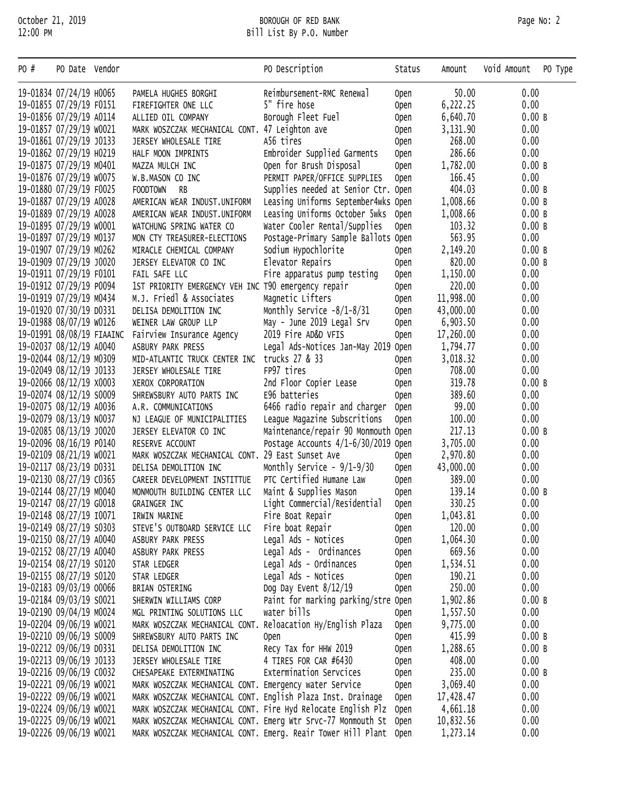## October 21, 2019 BOROUGH OF RED BANK Page No: 2 12:00 PM Bill List By P.O. Number

| PO #                    | PO Date Vendor            |                                                                   | PO Description                                                    | Status      | Amount    | Void Amount | PO Type |
|-------------------------|---------------------------|-------------------------------------------------------------------|-------------------------------------------------------------------|-------------|-----------|-------------|---------|
|                         | 19-01834 07/24/19 H0065   | PAMELA HUGHES BORGHI                                              | Reimbursement-RMC Renewal                                         | Open        | 50.00     | 0.00        |         |
|                         | 19-01855 07/29/19 F0151   | FIREFIGHTER ONE LLC                                               | 5" fire hose                                                      | <b>Open</b> | 6,222.25  | 0.00        |         |
|                         | 19-01856 07/29/19 A0114   | ALLIED OIL COMPANY                                                | Borough Fleet Fuel                                                | <b>Open</b> | 6,640.70  | 0.00B       |         |
|                         | 19-01857 07/29/19 w0021   | MARK WOSZCZAK MECHANICAL CONT. 47 Leighton ave                    |                                                                   | <b>Open</b> | 3,131.90  | 0.00        |         |
|                         | 19-01861 07/29/19 J0133   | JERSEY WHOLESALE TIRE                                             | A56 tires                                                         | <b>Open</b> | 268.00    | 0.00        |         |
|                         | 19-01862 07/29/19 H0219   | HALF MOON IMPRINTS                                                | Embroider Supplied Garments                                       | <b>Open</b> | 286.66    | 0.00        |         |
|                         | 19-01875 07/29/19 M0401   | MAZZA MULCH INC                                                   | Open for Brush Disposal                                           | Open        | 1,782.00  | 0.00B       |         |
|                         | 19-01876 07/29/19 w0075   | W.B.MASON CO INC                                                  | PERMIT PAPER/OFFICE SUPPLIES                                      | <b>Open</b> | 166.45    | 0.00        |         |
|                         | 19-01880 07/29/19 F0025   | RB<br><b>FOODTOWN</b>                                             | Supplies needed at Senior Ctr. Open                               |             | 404.03    | 0.00 B      |         |
|                         | 19-01887 07/29/19 A0028   | AMERICAN WEAR INDUST.UNIFORM                                      | Leasing Uniforms September4wks Open                               |             | 1,008.66  | 0.00 B      |         |
|                         | 19-01889 07/29/19 A0028   | AMERICAN WEAR INDUST.UNIFORM                                      | Leasing Uniforms October 5wks                                     | Open        | 1,008.66  | 0.00 B      |         |
|                         | 19-01895 07/29/19 w0001   | WATCHUNG SPRING WATER CO                                          | Water Cooler Rental/Supplies                                      | <b>Open</b> | 103.32    | 0.00B       |         |
|                         | 19-01897 07/29/19 M0137   | MON CTY TREASURER-ELECTIONS                                       | Postage-Primary Sample Ballots Open                               |             | 563.95    | 0.00        |         |
|                         | 19-01907 07/29/19 M0262   | MIRACLE CHEMICAL COMPANY                                          | Sodium Hypochlorite                                               | <b>Open</b> | 2,149.20  | 0.00 B      |         |
|                         | 19-01909 07/29/19 J0020   | JERSEY ELEVATOR CO INC                                            | Elevator Repairs                                                  | <b>Open</b> | 820.00    | 0.00B       |         |
|                         | 19-01911 07/29/19 F0101   | FAIL SAFE LLC                                                     | Fire apparatus pump testing                                       | <b>Open</b> | 1,150.00  | 0.00        |         |
|                         | 19-01912 07/29/19 P0094   | 1ST PRIORITY EMERGENCY VEH INC T90 emergency repair               |                                                                   | <b>Open</b> | 220.00    | 0.00        |         |
|                         | 19-01919 07/29/19 M0434   | M.J. Friedl & Associates                                          | Magnetic Lifters                                                  | <b>Open</b> | 11,998.00 | 0.00        |         |
|                         | 19-01920 07/30/19 D0331   | DELISA DEMOLITION INC                                             | Monthly Service $-8/1-8/31$                                       | <b>Open</b> | 43,000.00 | 0.00        |         |
|                         | 19-01988 08/07/19 w0126   | WEINER LAW GROUP LLP                                              | May - June 2019 Legal Srv                                         | Open        | 6,903.50  | 0.00        |         |
|                         | 19-01991 08/08/19 FIAAINC | Fairview Insurance Agency                                         | 2019 Fire AD&D VFIS                                               | <b>Open</b> | 17,260.00 | 0.00        |         |
|                         | 19-02037 08/12/19 A0040   | ASBURY PARK PRESS                                                 | Legal Ads-Notices Jan-May 2019 Open                               |             | 1,794.77  | 0.00        |         |
|                         | 19-02044 08/12/19 M0309   | MID-ATLANTIC TRUCK CENTER INC trucks 27 & 33                      |                                                                   | <b>Open</b> | 3,018.32  | 0.00        |         |
|                         | 19-02049 08/12/19 J0133   | JERSEY WHOLESALE TIRE                                             | FP97 tires                                                        | <b>Open</b> | 708.00    | 0.00        |         |
|                         | 19-02066 08/12/19 x0003   | XEROX CORPORATION                                                 | 2nd Floor Copier Lease                                            | <b>Open</b> | 319.78    | 0.00B       |         |
|                         | 19-02074 08/12/19 S0009   | SHREWSBURY AUTO PARTS INC                                         | E96 batteries                                                     | <b>Open</b> | 389.60    | 0.00        |         |
|                         | 19-02075 08/12/19 A0036   | A.R. COMMUNICATIONS                                               | 6466 radio repair and charger                                     | <b>Open</b> | 99.00     | 0.00        |         |
|                         | 19-02079 08/13/19 NO037   | NJ LEAGUE OF MUNICIPALITIES                                       | League Magazine Subscritions                                      | <b>Open</b> | 100.00    | 0.00        |         |
|                         | 19-02085 08/13/19 J0020   | JERSEY ELEVATOR CO INC                                            | Maintenance/repair 90 Monmouth Open                               |             | 217.13    | 0.00B       |         |
|                         | 19-02096 08/16/19 P0140   | RESERVE ACCOUNT                                                   | Postage Accounts $4/1-6/30/2019$ Open                             |             | 3,705.00  | 0.00        |         |
|                         | 19-02109 08/21/19 w0021   | MARK WOSZCZAK MECHANICAL CONT. 29 East Sunset Ave                 |                                                                   | <b>Open</b> | 2,970.80  | 0.00        |         |
|                         | 19-02117 08/23/19 D0331   | DELISA DEMOLITION INC                                             | Monthly Service - $9/1-9/30$                                      | <b>Open</b> | 43,000.00 | 0.00        |         |
|                         | 19-02130 08/27/19 C0365   | CAREER DEVELOPMENT INSTITTUE                                      | PTC Certified Humane Law                                          | Open        | 389.00    | 0.00        |         |
|                         | 19-02144 08/27/19 M0040   | MONMOUTH BUILDING CENTER LLC                                      | Maint & Supplies Mason                                            | Open        | 139.14    | 0.00B       |         |
|                         | 19-02147 08/27/19 G0018   | GRAINGER INC                                                      | Light Commercial/Residential                                      | <b>Open</b> | 330.25    | 0.00        |         |
|                         | 19-02148 08/27/19 10071   | IRWIN MARINE                                                      | Fire Boat Repair                                                  | <b>Open</b> | 1,043.81  | 0.00        |         |
| 19-02149 08/27/19 S0303 |                           | STEVE'S OUTBOARD SERVICE LLC                                      | Fire boat Repair                                                  | <b>Open</b> | 120.00    | 0.00        |         |
|                         | 19-02150 08/27/19 A0040   | ASBURY PARK PRESS                                                 | Legal Ads - Notices                                               | <b>Open</b> | 1,064.30  | 0.00        |         |
|                         | 19-02152 08/27/19 A0040   | ASBURY PARK PRESS                                                 | Legal Ads - Ordinances                                            | <b>Open</b> | 669.56    | 0.00        |         |
|                         | 19-02154 08/27/19 S0120   | STAR LEDGER                                                       | Legal Ads - Ordinances                                            | <b>Open</b> | 1,534.51  | 0.00        |         |
|                         | 19-02155 08/27/19 S0120   | STAR LEDGER                                                       | Legal Ads - Notices                                               | <b>Open</b> | 190.21    | 0.00        |         |
|                         | 19-02183 09/03/19 00066   | BRIAN OSTERING                                                    | Dog Day Event 8/12/19                                             | <b>Open</b> | 250.00    | 0.00        |         |
|                         | 19-02184 09/03/19 S0021   | SHERWIN WILLIAMS CORP                                             | Paint for marking parking/stre Open                               |             | 1,902.86  | 0.00 B      |         |
|                         | 19-02190 09/04/19 M0024   | MGL PRINTING SOLUTIONS LLC                                        | water bills                                                       | <b>Open</b> | 1,557.50  | 0.00        |         |
|                         | 19-02204 09/06/19 w0021   | MARK WOSZCZAK MECHANICAL CONT.                                    | Reloacation Hy/English Plaza                                      | <b>Open</b> | 9,775.00  | 0.00        |         |
|                         | 19-02210 09/06/19 S0009   | SHREWSBURY AUTO PARTS INC                                         | <b>Open</b>                                                       | <b>Open</b> | 415.99    | 0.00 B      |         |
|                         | 19-02212 09/06/19 D0331   | DELISA DEMOLITION INC                                             | Recy Tax for HHW 2019                                             | <b>Open</b> | 1,288.65  | 0.00 B      |         |
|                         | 19-02213 09/06/19 J0133   | JERSEY WHOLESALE TIRE                                             | 4 TIRES FOR CAR #6430                                             | <b>Open</b> | 408.00    | 0.00        |         |
|                         | 19-02216 09/06/19 C0032   | CHESAPEAKE EXTERMINATING                                          | Extermination Servcices                                           | <b>Open</b> | 235.00    | 0.00B       |         |
|                         | 19-02221 09/06/19 w0021   | MARK WOSZCZAK MECHANICAL CONT. Emergency water Service            |                                                                   | <b>Open</b> | 3,069.40  | 0.00        |         |
|                         | 19-02222 09/06/19 w0021   | MARK WOSZCZAK MECHANICAL CONT. English Plaza Inst. Drainage       |                                                                   | Open        | 17,428.47 | 0.00        |         |
| 19-02224 09/06/19 w0021 |                           |                                                                   | MARK WOSZCZAK MECHANICAL CONT. Fire Hyd Relocate English Plz Open |             | 4,661.18  | 0.00        |         |
| 19-02225 09/06/19 w0021 |                           |                                                                   | MARK WOSZCZAK MECHANICAL CONT. Emerg Wtr Srvc-77 Monmouth St Open |             | 10,832.56 | 0.00        |         |
| 19-02226 09/06/19 w0021 |                           | MARK WOSZCZAK MECHANICAL CONT. Emerg. Reair Tower Hill Plant Open |                                                                   |             | 1,273.14  | 0.00        |         |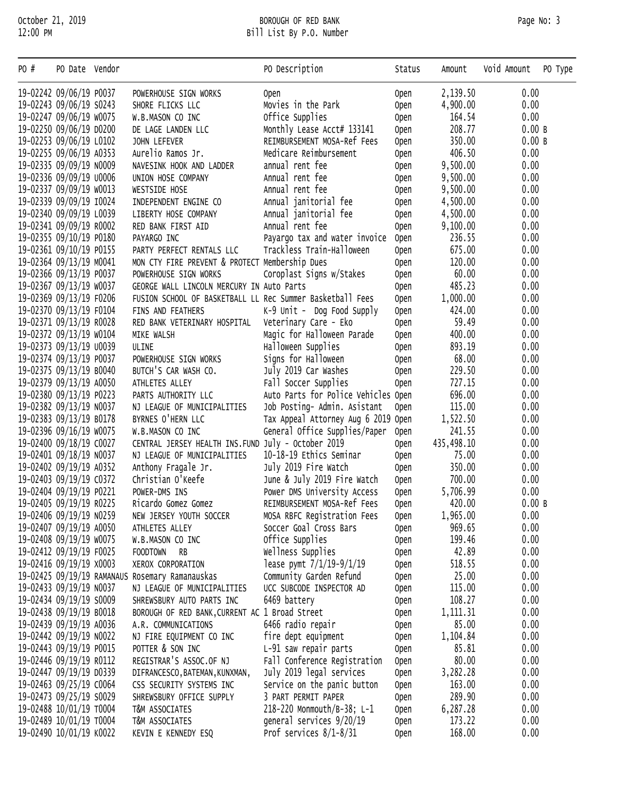## October 21, 2019 BOROUGH OF RED BANK Page No: 3 12:00 PM Bill List By P.O. Number

| PO # | PO Date Vendor          |                                                           | PO Description                      | Status      | Amount     | Void Amount<br>PO Type |
|------|-------------------------|-----------------------------------------------------------|-------------------------------------|-------------|------------|------------------------|
|      | 19-02242 09/06/19 P0037 | POWERHOUSE SIGN WORKS                                     | Open                                | 0pen        | 2,139.50   | 0.00                   |
|      | 19-02243 09/06/19 S0243 | SHORE FLICKS LLC                                          | Movies in the Park                  | <b>Open</b> | 4,900.00   | 0.00                   |
|      | 19-02247 09/06/19 w0075 | W.B.MASON CO INC                                          | Office Supplies                     | <b>Open</b> | 164.54     | 0.00                   |
|      | 19-02250 09/06/19 D0200 | DE LAGE LANDEN LLC                                        | Monthly Lease Acct# 133141          | <b>Open</b> | 208.77     | 0.00 B                 |
|      | 19-02253 09/06/19 L0102 | JOHN LEFEVER                                              | REIMBURSEMENT MOSA-Ref Fees         | <b>Open</b> | 350.00     | 0.00 B                 |
|      | 19-02255 09/06/19 A0353 | Aurelio Ramos Jr.                                         | Medicare Reimbursement              | <b>Open</b> | 406.50     | 0.00                   |
|      | 19-02335 09/09/19 N0009 | NAVESINK HOOK AND LADDER                                  | annual rent fee                     | <b>Open</b> | 9,500.00   | 0.00                   |
|      | 19-02336 09/09/19 00006 | UNION HOSE COMPANY                                        | Annual rent fee                     | <b>Open</b> | 9,500.00   | 0.00                   |
|      | 19-02337 09/09/19 w0013 | WESTSIDE HOSE                                             | Annual rent fee                     | <b>Open</b> | 9,500.00   | 0.00                   |
|      | 19-02339 09/09/19 10024 | INDEPENDENT ENGINE CO                                     | Annual janitorial fee               | <b>Open</b> | 4,500.00   | 0.00                   |
|      | 19-02340 09/09/19 L0039 | LIBERTY HOSE COMPANY                                      | Annual janitorial fee               | <b>Open</b> | 4,500.00   | 0.00                   |
|      | 19-02341 09/09/19 R0002 | RED BANK FIRST AID                                        | Annual rent fee                     | <b>Open</b> | 9,100.00   | 0.00                   |
|      | 19-02355 09/10/19 P0180 | PAYARGO INC                                               | Payargo tax and water invoice       | <b>Open</b> | 236.55     | 0.00                   |
|      | 19-02361 09/10/19 P0155 | PARTY PERFECT RENTALS LLC                                 | Trackless Train-Halloween           | <b>Open</b> | 675.00     | 0.00                   |
|      | 19-02364 09/13/19 M0041 | MON CTY FIRE PREVENT & PROTECT Membership Dues            |                                     | <b>Open</b> | 120.00     | 0.00                   |
|      | 19-02366 09/13/19 P0037 | POWERHOUSE SIGN WORKS                                     | Coroplast Signs w/Stakes            | <b>Open</b> | 60.00      | 0.00                   |
|      | 19-02367 09/13/19 w0037 | GEORGE WALL LINCOLN MERCURY IN Auto Parts                 |                                     | <b>Open</b> | 485.23     | 0.00                   |
|      | 19-02369 09/13/19 F0206 | FUSION SCHOOL OF BASKETBALL LL Rec Summer Basketball Fees |                                     | <b>Open</b> | 1,000.00   | 0.00                   |
|      | 19-02370 09/13/19 F0104 | FINS AND FEATHERS                                         | $K-9$ Unit - Dog Food Supply        | <b>Open</b> | 424.00     | 0.00                   |
|      | 19-02371 09/13/19 R0028 | RED BANK VETERINARY HOSPITAL                              | Veterinary Care - Eko               | <b>Open</b> | 59.49      | 0.00                   |
|      | 19-02372 09/13/19 w0104 | MIKE WALSH                                                | Magic for Halloween Parade          | <b>Open</b> | 400.00     | 0.00                   |
|      | 19-02373 09/13/19 00039 | ULINE                                                     | Halloween Supplies                  | <b>Open</b> | 893.19     | 0.00                   |
|      | 19-02374 09/13/19 P0037 | POWERHOUSE SIGN WORKS                                     | Signs for Halloween                 | <b>Open</b> | 68.00      | 0.00                   |
|      | 19-02375 09/13/19 B0040 | BUTCH'S CAR WASH CO.                                      | July 2019 Car Washes                | <b>Open</b> | 229.50     | 0.00                   |
|      | 19-02379 09/13/19 A0050 | ATHLETES ALLEY                                            | Fall Soccer Supplies                | <b>Open</b> | 727.15     | 0.00                   |
|      | 19-02380 09/13/19 P0223 | PARTS AUTHORITY LLC                                       | Auto Parts for Police Vehicles Open |             | 696.00     | 0.00                   |
|      | 19-02382 09/13/19 NO037 | NJ LEAGUE OF MUNICIPALITIES                               | Job Posting- Admin. Asistant        | <b>Open</b> | 115.00     | 0.00                   |
|      | 19-02383 09/13/19 B0178 | BYRNES O'HERN LLC                                         | Tax Appeal Attorney Aug 6 2019 Open |             | 1,522.50   | 0.00                   |
|      | 19-02396 09/16/19 w0075 | W.B.MASON CO INC                                          | General Office Supplies/Paper       | Open        | 241.55     | 0.00                   |
|      | 19-02400 09/18/19 C0027 | CENTRAL JERSEY HEALTH INS. FUND July - October 2019       |                                     | <b>Open</b> | 435,498.10 | 0.00                   |
|      | 19-02401 09/18/19 NO037 | NJ LEAGUE OF MUNICIPALITIES                               | 10-18-19 Ethics Seminar             | <b>Open</b> | 75.00      | 0.00                   |
|      | 19-02402 09/19/19 A0352 | Anthony Fragale Jr.                                       | July 2019 Fire Watch                | <b>Open</b> | 350.00     | 0.00                   |
|      | 19-02403 09/19/19 C0372 | Christian O'Keefe                                         | June & July 2019 Fire Watch         | <b>Open</b> | 700.00     | 0.00                   |
|      | 19-02404 09/19/19 P0221 | POWER-DMS INS                                             | Power DMS University Access         | <b>Open</b> | 5,706.99   | 0.00                   |
|      | 19-02405 09/19/19 R0225 | Ricardo Gomez Gomez                                       | REIMBURSEMENT MOSA-Ref Fees         | Open        | 420.00     | 0.00B                  |
|      | 19-02406 09/19/19 NO259 | NEW JERSEY YOUTH SOCCER                                   | MOSA RBFC Registration Fees         | <b>Open</b> | 1,965.00   | 0.00                   |
|      | 19-02407 09/19/19 A0050 | ATHLETES ALLEY                                            | Soccer Goal Cross Bars              | <b>Open</b> | 969.65     | 0.00                   |
|      | 19-02408 09/19/19 w0075 | W.B.MASON CO INC                                          | Office Supplies                     | <b>Open</b> | 199.46     | 0.00                   |
|      | 19-02412 09/19/19 F0025 | FOODTOWN RB                                               | Wellness Supplies                   | <b>Open</b> | 42.89      | 0.00                   |
|      | 19-02416 09/19/19 x0003 | XEROX CORPORATION                                         | lease pymt 7/1/19-9/1/19            | <b>Open</b> | 518.55     | 0.00                   |
|      |                         | 19-02425 09/19/19 RAMANAUS Rosemary Ramanauskas           | Community Garden Refund             | <b>Open</b> | 25.00      | 0.00                   |
|      | 19-02433 09/19/19 N0037 | NJ LEAGUE OF MUNICIPALITIES                               | UCC SUBCODE INSPECTOR AD            | <b>Open</b> | 115.00     | 0.00                   |
|      | 19-02434 09/19/19 S0009 | SHREWSBURY AUTO PARTS INC                                 | 6469 battery                        | <b>Open</b> | 108.27     | 0.00                   |
|      | 19-02438 09/19/19 B0018 | BOROUGH OF RED BANK, CURRENT AC 1 Broad Street            |                                     | <b>Open</b> | 1, 111. 31 | 0.00                   |
|      | 19-02439 09/19/19 A0036 | A.R. COMMUNICATIONS                                       | 6466 radio repair                   | <b>Open</b> | 85.00      | 0.00                   |
|      | 19-02442 09/19/19 NO022 | NJ FIRE EQUIPMENT CO INC                                  | fire dept equipment                 | <b>Open</b> | 1,104.84   | 0.00                   |
|      | 19-02443 09/19/19 P0015 | POTTER & SON INC                                          | L-91 saw repair parts               | <b>Open</b> | 85.81      | 0.00                   |
|      | 19-02446 09/19/19 R0112 | REGISTRAR'S ASSOC.OF NJ                                   | Fall Conference Registration        | <b>Open</b> | 80.00      | 0.00                   |
|      | 19-02447 09/19/19 D0339 | DIFRANCESCO, BATEMAN, KUNXMAN,                            | July 2019 legal services            | <b>Open</b> | 3,282.28   | 0.00                   |
|      | 19-02463 09/25/19 C0064 | CSS SECURITY SYSTEMS INC                                  | Service on the panic button         | <b>Open</b> | 163.00     | 0.00                   |
|      | 19-02473 09/25/19 S0029 | SHREWSBURY OFFICE SUPPLY                                  | 3 PART PERMIT PAPER                 | <b>Open</b> | 289.90     | 0.00                   |
|      | 19-02488 10/01/19 T0004 | T&M ASSOCIATES                                            | 218-220 Monmouth/B-38; L-1          | <b>Open</b> | 6,287.28   | 0.00                   |
|      | 19-02489 10/01/19 T0004 | T&M ASSOCIATES                                            | general services 9/20/19            | <b>Open</b> | 173.22     | 0.00                   |
|      | 19-02490 10/01/19 K0022 | KEVIN E KENNEDY ESQ                                       | Prof services $8/1-\frac{8}{31}$    | Open        | 168.00     | 0.00                   |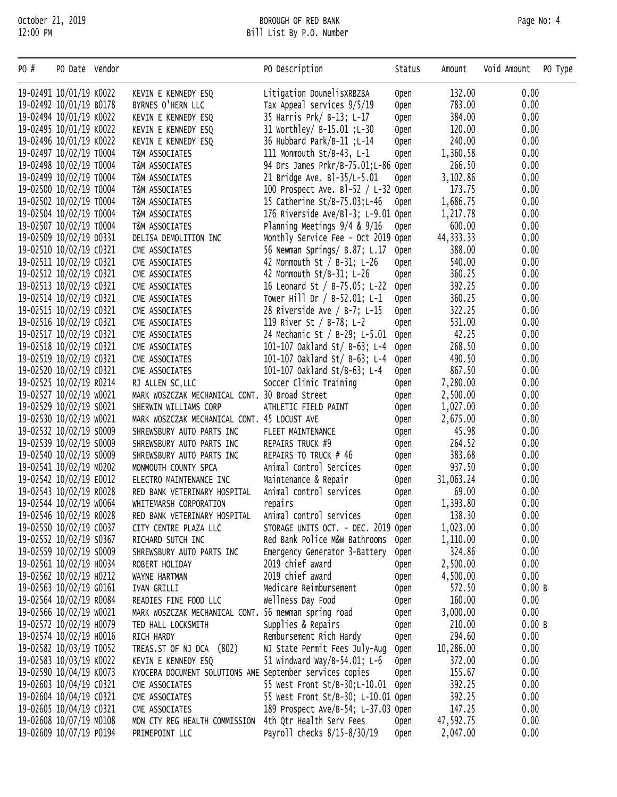| PO #                    | PO Date Vendor          |                                                          | PO Description                      | Status      | Amount      | Void Amount<br>PO Type |
|-------------------------|-------------------------|----------------------------------------------------------|-------------------------------------|-------------|-------------|------------------------|
|                         | 19-02491 10/01/19 K0022 | KEVIN E KENNEDY ESQ                                      | Litigation DounelisXRBZBA           | <b>Open</b> | 132.00      | 0.00                   |
|                         | 19-02492 10/01/19 B0178 | BYRNES O'HERN LLC                                        | Tax Appeal services 9/5/19          | <b>Open</b> | 783.00      | 0.00                   |
|                         | 19-02494 10/01/19 K0022 | KEVIN E KENNEDY ESQ                                      | 35 Harris Prk/ B-13; L-17           | <b>Open</b> | 384.00      | 0.00                   |
|                         | 19-02495 10/01/19 K0022 | KEVIN E KENNEDY ESQ                                      | 31 Worthley/ B-15.01 ; L-30         | <b>Open</b> | 120.00      | 0.00                   |
|                         | 19-02496 10/01/19 K0022 | KEVIN E KENNEDY ESQ                                      | 36 Hubbard Park/B-11 ;L-14          | <b>Open</b> | 240.00      | 0.00                   |
|                         | 19-02497 10/02/19 T0004 | T&M ASSOCIATES                                           | 111 Monmouth St/B-43, L-1           | Open        | 1,360.58    | 0.00                   |
|                         | 19-02498 10/02/19 T0004 | T&M ASSOCIATES                                           | 94 Drs James Prkr/B-75.01;L-86 Open |             | 266.50      | 0.00                   |
|                         | 19-02499 10/02/19 T0004 | T&M ASSOCIATES                                           | 21 Bridge Ave. B1-35/L-5.01         | <b>Open</b> | 3,102.86    | 0.00                   |
|                         | 19-02500 10/02/19 T0004 | T&M ASSOCIATES                                           | 100 Prospect Ave. B1-52 / L-32 Open |             | 173.75      | 0.00                   |
|                         | 19-02502 10/02/19 T0004 | T&M ASSOCIATES                                           | 15 Catherine St/B-75.03;L-46        | <b>Open</b> | 1,686.75    | 0.00                   |
|                         | 19-02504 10/02/19 T0004 | T&M ASSOCIATES                                           | 176 Riverside Ave/Bl-3; L-9.01 Open |             | 1,217.78    | 0.00                   |
|                         | 19-02507 10/02/19 T0004 | T&M ASSOCIATES                                           | Planning Meetings $9/4$ & $9/16$    | <b>Open</b> | 600.00      | 0.00                   |
|                         | 19-02509 10/02/19 D0331 | DELISA DEMOLITION INC                                    | Monthly Service Fee - Oct 2019 Open |             | 44, 333. 33 | 0.00                   |
|                         | 19-02510 10/02/19 C0321 | CME ASSOCIATES                                           | 56 Newman Springs/ B.87; L.17       | <b>Open</b> | 388.00      | 0.00                   |
|                         | 19-02511 10/02/19 C0321 | CME ASSOCIATES                                           | 42 Monmouth St / B-31; L-26         | <b>Open</b> | 540.00      | 0.00                   |
|                         | 19-02512 10/02/19 C0321 | CME ASSOCIATES                                           | 42 Monmouth St/B-31; L-26           | Open        | 360.25      | 0.00                   |
|                         | 19-02513 10/02/19 C0321 | CME ASSOCIATES                                           | 16 Leonard St / B-75.05; L-22       | <b>Open</b> | 392.25      | 0.00                   |
|                         | 19-02514 10/02/19 C0321 | CME ASSOCIATES                                           | Tower Hill Dr / B-52.01; L-1        | <b>Open</b> | 360.25      | 0.00                   |
|                         | 19-02515 10/02/19 C0321 | CME ASSOCIATES                                           | 28 Riverside Ave / B-7; L-15        | <b>Open</b> | 322.25      | 0.00                   |
|                         | 19-02516 10/02/19 C0321 | CME ASSOCIATES                                           | 119 River St / B-78; L-2            | <b>Open</b> | 531.00      | 0.00                   |
|                         | 19-02517 10/02/19 C0321 | CME ASSOCIATES                                           | 24 Mechanic St / B-29; L-5.01       | Open        | 42.25       | 0.00                   |
|                         | 19-02518 10/02/19 C0321 | CME ASSOCIATES                                           | 101-107 Oakland St/ B-63; L-4       | <b>Open</b> | 268.50      | 0.00                   |
|                         | 19-02519 10/02/19 C0321 | CME ASSOCIATES                                           | 101-107 Oakland St/ B-63; L-4       | <b>Open</b> | 490.50      | 0.00                   |
|                         | 19-02520 10/02/19 C0321 | CME ASSOCIATES                                           | 101-107 Oakland St/B-63; L-4        | <b>Open</b> | 867.50      | 0.00                   |
|                         | 19-02525 10/02/19 R0214 | RJ ALLEN SC, LLC                                         | Soccer Clinic Training              | <b>Open</b> | 7,280.00    | 0.00                   |
|                         | 19-02527 10/02/19 W0021 | MARK WOSZCZAK MECHANICAL CONT. 30 Broad Street           |                                     | <b>Open</b> | 2,500.00    | 0.00                   |
|                         | 19-02529 10/02/19 S0021 | SHERWIN WILLIAMS CORP                                    | ATHLETIC FIELD PAINT                | <b>Open</b> | 1,027.00    | 0.00                   |
|                         | 19-02530 10/02/19 w0021 | MARK WOSZCZAK MECHANICAL CONT. 45 LOCUST AVE             |                                     | <b>Open</b> | 2,675.00    | 0.00                   |
|                         | 19-02532 10/02/19 S0009 | SHREWSBURY AUTO PARTS INC                                | FLEET MAINTENANCE                   | <b>Open</b> | 45.98       | 0.00                   |
|                         | 19-02539 10/02/19 S0009 | SHREWSBURY AUTO PARTS INC                                | REPAIRS TRUCK #9                    | <b>Open</b> | 264.52      | 0.00                   |
|                         | 19-02540 10/02/19 S0009 | SHREWSBURY AUTO PARTS INC                                | REPAIRS TO TRUCK # 46               | <b>Open</b> | 383.68      | 0.00                   |
|                         | 19-02541 10/02/19 M0202 | MONMOUTH COUNTY SPCA                                     | Animal Control Sercices             | <b>Open</b> | 937.50      | 0.00                   |
|                         | 19-02542 10/02/19 E0012 | ELECTRO MAINTENANCE INC                                  | Maintenance & Repair                | <b>Open</b> | 31,063.24   | 0.00                   |
|                         | 19-02543 10/02/19 R0028 | RED BANK VETERINARY HOSPITAL                             | Animal control services             | <b>Open</b> | 69.00       | 0.00                   |
|                         | 19-02544 10/02/19 w0064 | WHITEMARSH CORPORATION                                   | repairs                             | Open        | 1,393.80    | 0.00                   |
|                         | 19-02546 10/02/19 R0028 | RED BANK VETERINARY HOSPITAL                             | Animal control services             | <b>Open</b> | 138.30      | 0.00                   |
|                         | 19-02550 10/02/19 C0037 | CITY CENTRE PLAZA LLC                                    | STORAGE UNITS OCT. - DEC. 2019 Open |             | 1,023.00    | 0.00                   |
|                         | 19-02552 10/02/19 S0367 | RICHARD SUTCH INC                                        | Red Bank Police M&w Bathrooms       | Open        | 1,110.00    | 0.00                   |
|                         | 19-02559 10/02/19 S0009 | SHREWSBURY AUTO PARTS INC                                | Emergency Generator 3-Battery       | <b>Open</b> | 324.86      | 0.00                   |
|                         | 19-02561 10/02/19 H0034 | ROBERT HOLIDAY                                           | 2019 chief award                    | <b>Open</b> | 2,500.00    | 0.00                   |
|                         | 19-02562 10/02/19 H0212 | WAYNE HARTMAN                                            | 2019 chief award                    | <b>Open</b> | 4,500.00    | 0.00                   |
|                         | 19-02563 10/02/19 G0161 | IVAN GRILLI                                              | Medicare Reimbursement              | <b>Open</b> | 572.50      | 0.00B                  |
|                         | 19-02564 10/02/19 R0084 | READIES FINE FOOD LLC                                    | Wellness Day Food                   | <b>Open</b> | 160.00      | 0.00                   |
|                         | 19-02566 10/02/19 w0021 | MARK WOSZCZAK MECHANICAL CONT. 56 newman spring road     |                                     | <b>Open</b> | 3,000.00    | 0.00                   |
|                         | 19-02572 10/02/19 H0079 | TED HALL LOCKSMITH                                       | Supplies & Repairs                  | <b>Open</b> | 210.00      | 0.00B                  |
|                         | 19-02574 10/02/19 H0016 | RICH HARDY                                               | Rembursement Rich Hardy             | <b>Open</b> | 294.60      | 0.00                   |
|                         | 19-02582 10/03/19 T0052 | TREAS.ST OF NJ DCA (802)                                 | NJ State Permit Fees July-Aug       | <b>Open</b> | 10,286.00   | 0.00                   |
|                         | 19-02583 10/03/19 K0022 | KEVIN E KENNEDY ESQ                                      | 51 Windward Way/B-54.01; L-6        | <b>Open</b> | 372.00      | 0.00                   |
|                         | 19-02590 10/04/19 K0073 | KYOCERA DOCUMENT SOLUTIONS AME September services copies |                                     | <b>Open</b> | 155.67      | 0.00                   |
|                         | 19-02603 10/04/19 C0321 | CME ASSOCIATES                                           | 55 West Front St/B-30;L-10.01       | Open        | 392.25      | 0.00                   |
|                         | 19-02604 10/04/19 C0321 | CME ASSOCIATES                                           | 55 West Front St/B-30; L-10.01 Open |             | 392.25      | 0.00                   |
|                         | 19-02605 10/04/19 C0321 | CME ASSOCIATES                                           | 189 Prospect Ave/B-54; L-37.03 Open |             | 147.25      | 0.00                   |
|                         | 19-02608 10/07/19 M0108 | MON CTY REG HEALTH COMMISSION 4th Qtr Health Serv Fees   |                                     | <b>Open</b> | 47,592.75   | 0.00                   |
| 19-02609 10/07/19 P0194 |                         | PRIMEPOINT LLC                                           | Payroll checks 8/15-8/30/19         | 0pen        | 2,047.00    | 0.00                   |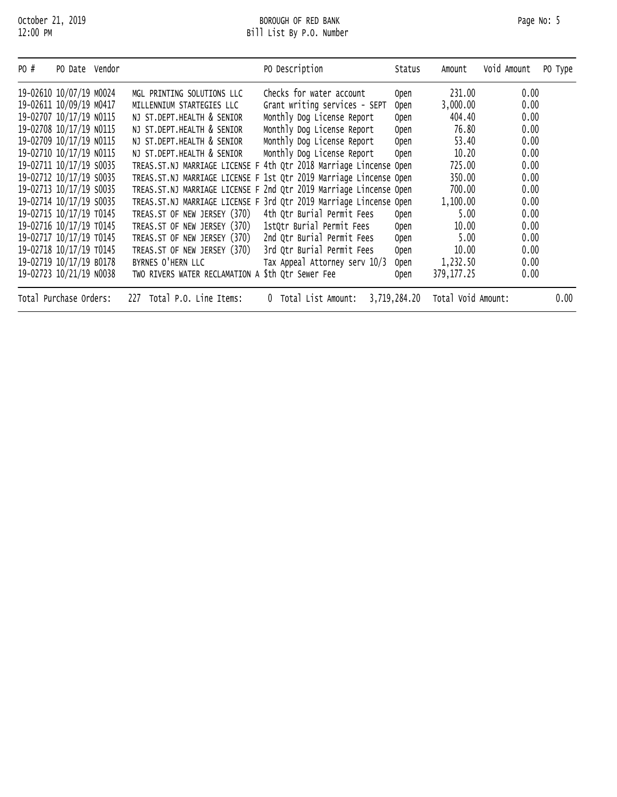| PO # | PO Date Vendor          |                                | PO Description                                                     | Status       | Amount             | Void Amount | PO Type |
|------|-------------------------|--------------------------------|--------------------------------------------------------------------|--------------|--------------------|-------------|---------|
|      | 19-02610 10/07/19 M0024 | MGL PRINTING SOLUTIONS LLC     | Checks for water account                                           | 0pen         | 231.00             | 0.00        |         |
|      | 19-02611 10/09/19 M0417 | MILLENNIUM STARTEGIES LLC      | Grant writing services - SEPT                                      | 0pen         | 3,000.00           | 0.00        |         |
|      | 19-02707 10/17/19 NO115 | NJ ST.DEPT.HEALTH & SENIOR     | Monthly Dog License Report                                         | <b>Open</b>  | 404.40             | 0.00        |         |
|      | 19-02708 10/17/19 N0115 | NJ ST.DEPT.HEALTH & SENIOR     | Monthly Dog License Report                                         | Open         | 76.80              | 0.00        |         |
|      | 19-02709 10/17/19 NO115 | NJ ST.DEPT.HEALTH & SENIOR     | Monthly Dog License Report                                         | Open         | 53.40              | 0.00        |         |
|      | 19-02710 10/17/19 N0115 | NJ ST.DEPT.HEALTH & SENIOR     | Monthly Dog License Report                                         | Open         | 10.20              | 0.00        |         |
|      | 19-02711 10/17/19 S0035 |                                | TREAS.ST.NJ MARRIAGE LICENSE F 4th Qtr 2018 Marriage Lincense Open |              | 725.00             | 0.00        |         |
|      | 19-02712 10/17/19 S0035 |                                | TREAS.ST.NJ MARRIAGE LICENSE F 1st Qtr 2019 Marriage Lincense Open |              | 350.00             | 0.00        |         |
|      | 19-02713 10/17/19 S0035 |                                | TREAS.ST.NJ MARRIAGE LICENSE F 2nd Qtr 2019 Marriage Lincense Open |              | 700.00             | 0.00        |         |
|      | 19-02714 10/17/19 S0035 |                                | TREAS.ST.NJ MARRIAGE LICENSE F 3rd Qtr 2019 Marriage Lincense Open |              | 1,100.00           | 0.00        |         |
|      | 19-02715 10/17/19 T0145 | TREAS.ST OF NEW JERSEY (370)   | 4th Qtr Burial Permit Fees                                         | 0pen         | 5.00               | 0.00        |         |
|      | 19-02716 10/17/19 T0145 | TREAS.ST OF NEW JERSEY (370)   | 1stQtr Burial Permit Fees                                          | <b>Open</b>  | 10.00              | 0.00        |         |
|      | 19-02717 10/17/19 T0145 | TREAS.ST OF NEW JERSEY (370)   | 2nd Qtr Burial Permit Fees                                         | <b>Open</b>  | 5.00               | 0.00        |         |
|      | 19-02718 10/17/19 T0145 | TREAS.ST OF NEW JERSEY (370)   | 3rd Qtr Burial Permit Fees                                         | <b>Open</b>  | 10.00              | 0.00        |         |
|      | 19-02719 10/17/19 B0178 | BYRNES O'HERN LLC              | Tax Appeal Attorney serv 10/3                                      | <b>Open</b>  | 1,232.50           | 0.00        |         |
|      | 19-02723 10/21/19 N0038 | TWO RIVERS WATER RECLAMATION A | \$th Qtr Sewer Fee                                                 | <b>Open</b>  | 379, 177. 25       | 0.00        |         |
|      | Total Purchase Orders:  | Total P.O. Line Items:<br>227  | Total List Amount:<br>0                                            | 3,719,284.20 | Total Void Amount: |             | 0.00    |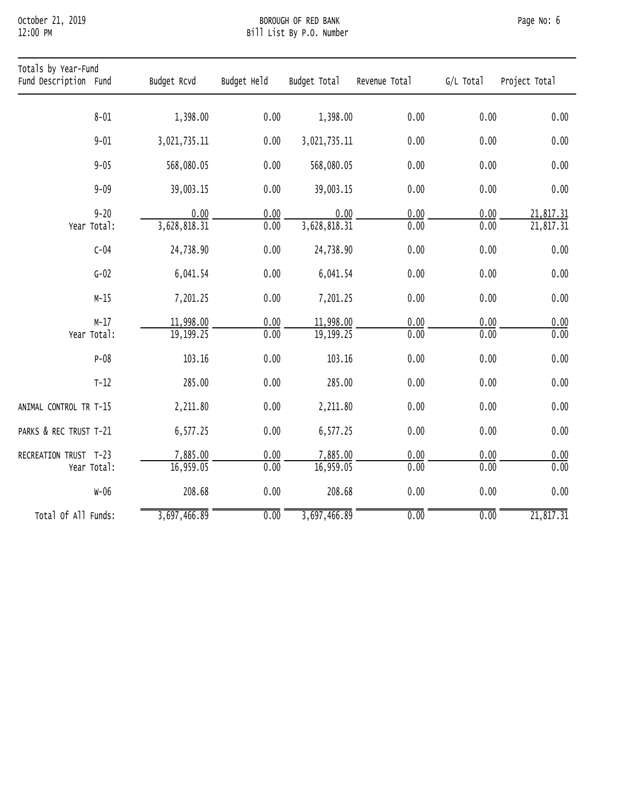## October 21, 2019 BOROUGH OF RED BANK Page No: 6 12:00 PM Bill List By P.O. Number

| Totals by Year-Fund<br>Fund Description Fund | Budget Rcvd              | Budget Held       | Budget Total              | Revenue Total     | G/L Total         | Project Total          |
|----------------------------------------------|--------------------------|-------------------|---------------------------|-------------------|-------------------|------------------------|
| $8 - 01$                                     | 1,398.00                 | 0.00              | 1,398.00                  | 0.00              | 0.00              | 0.00                   |
| $9 - 01$                                     | 3,021,735.11             | 0.00              | 3,021,735.11              | 0.00              | 0.00              | 0.00                   |
| $9 - 05$                                     | 568,080.05               | 0.00              | 568,080.05                | 0.00              | 0.00              | 0.00                   |
| $9 - 09$                                     | 39,003.15                | 0.00              | 39,003.15                 | 0.00              | 0.00              | 0.00                   |
| $9 - 20$<br>Year Total:                      | 0.00<br>3,628,818.31     | 0.00<br>0.00      | 0.00<br>3,628,818.31      | 0.00<br>0.00      | 0.00<br>0.00      | 21,817.31<br>21,817.31 |
| $C-04$                                       | 24,738.90                | 0.00              | 24,738.90                 | 0.00              | 0.00              | 0.00                   |
| $G-02$                                       | 6,041.54                 | 0.00              | 6,041.54                  | 0.00              | 0.00              | 0.00                   |
| $M-15$                                       | 7,201.25                 | 0.00              | 7,201.25                  | 0.00              | 0.00              | 0.00                   |
| $M-17$<br>Year Total:                        | 11,998.00<br>19, 199. 25 | 0.00<br>0.00      | 11,998.00<br>19, 199. 25  | 0.00<br>0.00      | 0.00<br>0.00      | 0.00<br>0.00           |
| $P-08$                                       | 103.16                   | 0.00              | 103.16                    | 0.00              | 0.00              | 0.00                   |
| $T-12$                                       | 285.00                   | 0.00              | 285.00                    | 0.00              | 0.00              | 0.00                   |
| ANIMAL CONTROL TR T-15                       | 2,211.80                 | 0.00              | 2,211.80                  | 0.00              | 0.00              | 0.00                   |
| PARKS & REC TRUST T-21                       | 6,577.25                 | 0.00              | 6,577.25                  | 0.00              | 0.00              | 0.00                   |
| RECREATION TRUST T-23<br>Year Total:         | 7,885.00<br>16,959.05    | 0.00<br>0.00      | 7,885.00<br>16,959.05     | 0.00<br>0.00      | 0.00<br>0.00      | 0.00<br>0.00           |
| $W-06$                                       | 208.68                   | 0.00              | 208.68                    | 0.00              | 0.00              | 0.00                   |
| Total Of All Funds:                          | 3,697,466.89             | $\overline{0.00}$ | $\overline{3,697,466.89}$ | $\overline{0.00}$ | $\overline{0.00}$ | $\overline{21,817.31}$ |